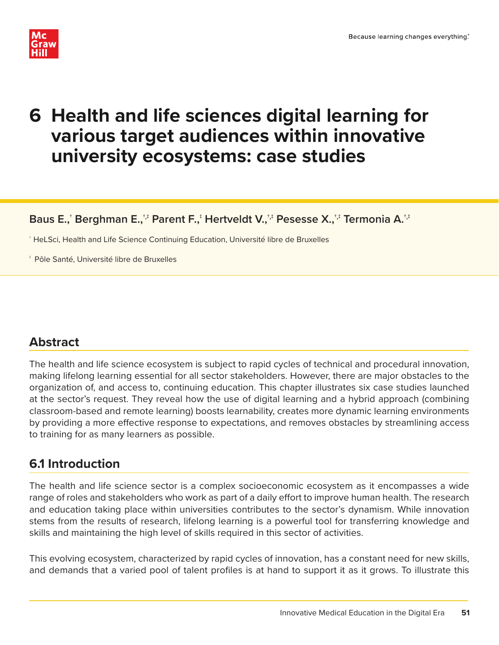

# **6 Health and life sciences digital learning for various target audiences within innovative university ecosystems: case studies**

**Baus E.,† Berghman E.,†,‡ Parent F.,‡ Hertveldt V.,†,‡ Pesesse X.,†,‡ Termonia A.†,‡**

† HeLSci, Health and Life Science Continuing Education, Université libre de Bruxelles

‡ Pôle Santé, Université libre de Bruxelles

## **Abstract**

The health and life science ecosystem is subject to rapid cycles of technical and procedural innovation, making lifelong learning essential for all sector stakeholders. However, there are major obstacles to the organization of, and access to, continuing education. This chapter illustrates six case studies launched at the sector's request. They reveal how the use of digital learning and a hybrid approach (combining classroom-based and remote learning) boosts learnability, creates more dynamic learning environments by providing a more effective response to expectations, and removes obstacles by streamlining access to training for as many learners as possible.

### **6.1 Introduction**

The health and life science sector is a complex socioeconomic ecosystem as it encompasses a wide range of roles and stakeholders who work as part of a daily effort to improve human health. The research and education taking place within universities contributes to the sector's dynamism. While innovation stems from the results of research, lifelong learning is a powerful tool for transferring knowledge and skills and maintaining the high level of skills required in this sector of activities.

This evolving ecosystem, characterized by rapid cycles of innovation, has a constant need for new skills, and demands that a varied pool of talent profiles is at hand to support it as it grows. To illustrate this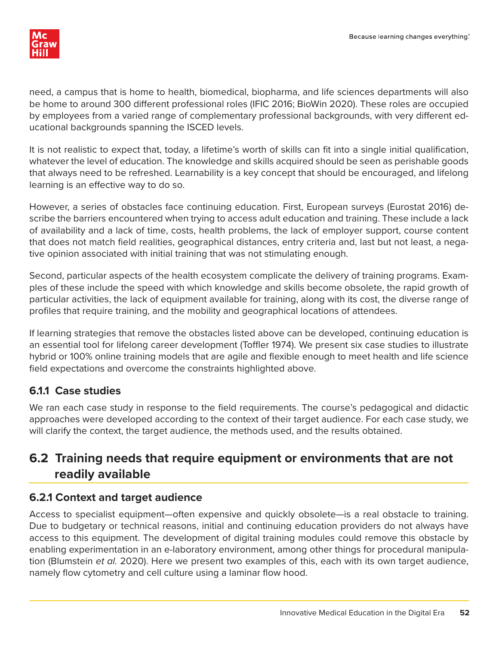

need, a campus that is home to health, biomedical, biopharma, and life sciences departments will also be home to around 300 different professional roles (IFIC 2016; BioWin 2020). These roles are occupied by employees from a varied range of complementary professional backgrounds, with very different educational backgrounds spanning the ISCED levels.

It is not realistic to expect that, today, a lifetime's worth of skills can fit into a single initial qualification, whatever the level of education. The knowledge and skills acquired should be seen as perishable goods that always need to be refreshed. Learnability is a key concept that should be encouraged, and lifelong learning is an effective way to do so.

However, a series of obstacles face continuing education. First, European surveys (Eurostat 2016) describe the barriers encountered when trying to access adult education and training. These include a lack of availability and a lack of time, costs, health problems, the lack of employer support, course content that does not match field realities, geographical distances, entry criteria and, last but not least, a negative opinion associated with initial training that was not stimulating enough.

Second, particular aspects of the health ecosystem complicate the delivery of training programs. Examples of these include the speed with which knowledge and skills become obsolete, the rapid growth of particular activities, the lack of equipment available for training, along with its cost, the diverse range of profiles that require training, and the mobility and geographical locations of attendees.

If learning strategies that remove the obstacles listed above can be developed, continuing education is an essential tool for lifelong career development (Toffler 1974). We present six case studies to illustrate hybrid or 100% online training models that are agile and flexible enough to meet health and life science field expectations and overcome the constraints highlighted above.

#### **6.1.1 Case studies**

We ran each case study in response to the field requirements. The course's pedagogical and didactic approaches were developed according to the context of their target audience. For each case study, we will clarify the context, the target audience, the methods used, and the results obtained.

### **6.2 Training needs that require equipment or environments that are not readily available**

#### **6.2.1 Context and target audience**

Access to specialist equipment—often expensive and quickly obsolete—is a real obstacle to training. Due to budgetary or technical reasons, initial and continuing education providers do not always have access to this equipment. The development of digital training modules could remove this obstacle by enabling experimentation in an e-laboratory environment, among other things for procedural manipulation (Blumstein et al. 2020). Here we present two examples of this, each with its own target audience, namely flow cytometry and cell culture using a laminar flow hood.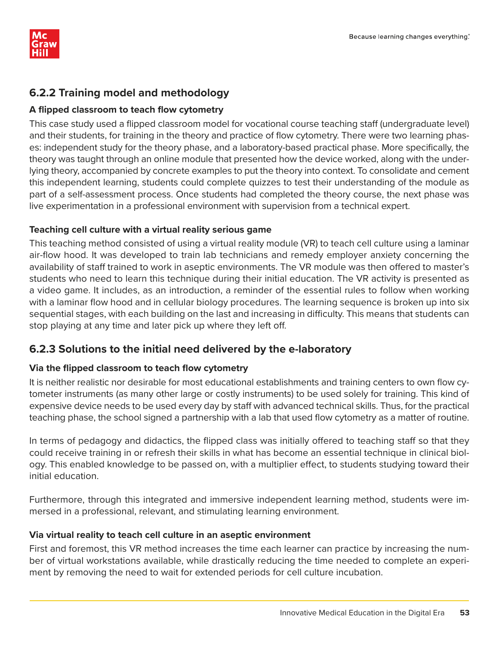

#### **6.2.2 Training model and methodology**

#### A flipped classroom to teach flow cytometry

This case study used a flipped classroom model for vocational course teaching staff (undergraduate level) and their students, for training in the theory and practice of flow cytometry. There were two learning phases: independent study for the theory phase, and a laboratory-based practical phase. More specifically, the theory was taught through an online module that presented how the device worked, along with the underlying theory, accompanied by concrete examples to put the theory into context. To consolidate and cement this independent learning, students could complete quizzes to test their understanding of the module as part of a self-assessment process. Once students had completed the theory course, the next phase was live experimentation in a professional environment with supervision from a technical expert.

#### **Teaching cell culture with a virtual reality serious game**

This teaching method consisted of using a virtual reality module (VR) to teach cell culture using a laminar air-flow hood. It was developed to train lab technicians and remedy employer anxiety concerning the availability of staff trained to work in aseptic environments. The VR module was then offered to master's students who need to learn this technique during their initial education. The VR activity is presented as a video game. It includes, as an introduction, a reminder of the essential rules to follow when working with a laminar flow hood and in cellular biology procedures. The learning sequence is broken up into six sequential stages, with each building on the last and increasing in difficulty. This means that students can stop playing at any time and later pick up where they left off.

#### **6.2.3 Solutions to the initial need delivered by the e-laboratory**

#### **Via the flipped classroom to teach flow cytometry**

It is neither realistic nor desirable for most educational establishments and training centers to own flow cytometer instruments (as many other large or costly instruments) to be used solely for training. This kind of expensive device needs to be used every day by staff with advanced technical skills. Thus, for the practical teaching phase, the school signed a partnership with a lab that used flow cytometry as a matter of routine.

In terms of pedagogy and didactics, the flipped class was initially offered to teaching staff so that they could receive training in or refresh their skills in what has become an essential technique in clinical biology. This enabled knowledge to be passed on, with a multiplier effect, to students studying toward their initial education.

Furthermore, through this integrated and immersive independent learning method, students were immersed in a professional, relevant, and stimulating learning environment.

#### **Via virtual reality to teach cell culture in an aseptic environment**

First and foremost, this VR method increases the time each learner can practice by increasing the number of virtual workstations available, while drastically reducing the time needed to complete an experiment by removing the need to wait for extended periods for cell culture incubation.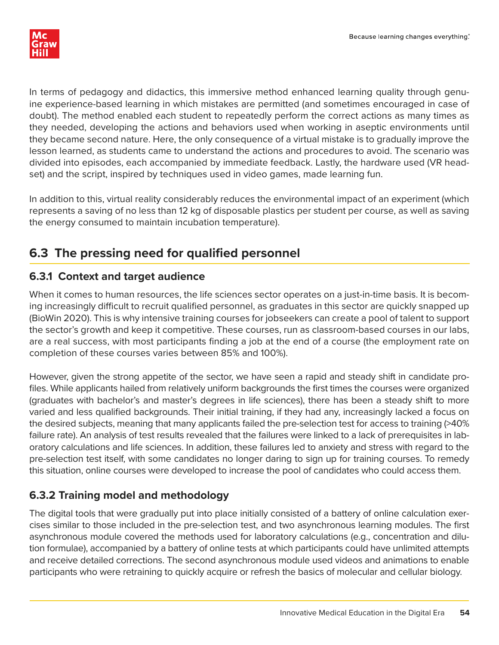

In terms of pedagogy and didactics, this immersive method enhanced learning quality through genuine experience-based learning in which mistakes are permitted (and sometimes encouraged in case of doubt). The method enabled each student to repeatedly perform the correct actions as many times as they needed, developing the actions and behaviors used when working in aseptic environments until they became second nature. Here, the only consequence of a virtual mistake is to gradually improve the lesson learned, as students came to understand the actions and procedures to avoid. The scenario was divided into episodes, each accompanied by immediate feedback. Lastly, the hardware used (VR headset) and the script, inspired by techniques used in video games, made learning fun.

In addition to this, virtual reality considerably reduces the environmental impact of an experiment (which represents a saving of no less than 12 kg of disposable plastics per student per course, as well as saving the energy consumed to maintain incubation temperature).

### **6.3 The pressing need for qualified personnel**

### **6.3.1 Context and target audience**

When it comes to human resources, the life sciences sector operates on a just-in-time basis. It is becoming increasingly difficult to recruit qualified personnel, as graduates in this sector are quickly snapped up (BioWin 2020). This is why intensive training courses for jobseekers can create a pool of talent to support the sector's growth and keep it competitive. These courses, run as classroom-based courses in our labs, are a real success, with most participants finding a job at the end of a course (the employment rate on completion of these courses varies between 85% and 100%).

However, given the strong appetite of the sector, we have seen a rapid and steady shift in candidate profiles. While applicants hailed from relatively uniform backgrounds the first times the courses were organized (graduates with bachelor's and master's degrees in life sciences), there has been a steady shift to more varied and less qualified backgrounds. Their initial training, if they had any, increasingly lacked a focus on the desired subjects, meaning that many applicants failed the pre-selection test for access to training (>40% failure rate). An analysis of test results revealed that the failures were linked to a lack of prerequisites in laboratory calculations and life sciences. In addition, these failures led to anxiety and stress with regard to the pre-selection test itself, with some candidates no longer daring to sign up for training courses. To remedy this situation, online courses were developed to increase the pool of candidates who could access them.

### **6.3.2 Training model and methodology**

The digital tools that were gradually put into place initially consisted of a battery of online calculation exercises similar to those included in the pre-selection test, and two asynchronous learning modules. The first asynchronous module covered the methods used for laboratory calculations (e.g., concentration and dilution formulae), accompanied by a battery of online tests at which participants could have unlimited attempts and receive detailed corrections. The second asynchronous module used videos and animations to enable participants who were retraining to quickly acquire or refresh the basics of molecular and cellular biology.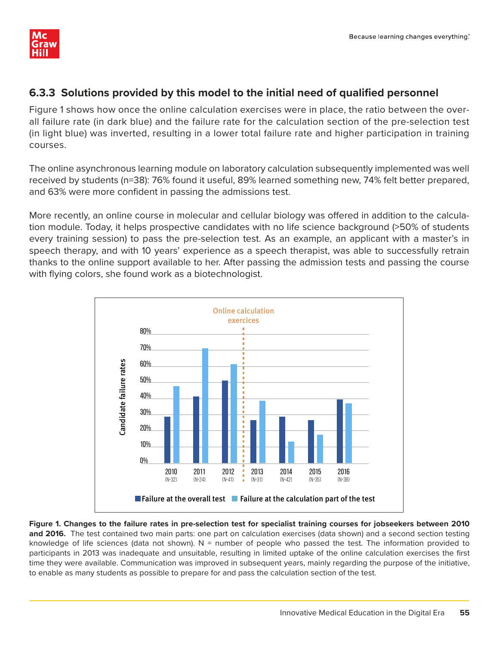

#### **6.3.3 Solutions provided by this model to the initial need of qualified personnel**

Figure 1 shows how once the online calculation exercises were in place, the ratio between the overall failure rate (in dark blue) and the failure rate for the calculation section of the pre-selection test (in light blue) was inverted, resulting in a lower total failure rate and higher participation in training courses.

The online asynchronous learning module on laboratory calculation subsequently implemented was well received by students (n=38): 76% found it useful, 89% learned something new, 74% felt better prepared, and 63% were more confident in passing the admissions test.

More recently, an online course in molecular and cellular biology was offered in addition to the calculation module. Today, it helps prospective candidates with no life science background (>50% of students every training session) to pass the pre-selection test. As an example, an applicant with a master's in speech therapy, and with 10 years' experience as a speech therapist, was able to successfully retrain thanks to the online support available to her. After passing the admission tests and passing the course with flying colors, she found work as a biotechnologist.



**Figure 1. Changes to the failure rates in pre-selection test for specialist training courses for jobseekers between 2010 and 2016.** The test contained two main parts: one part on calculation exercises (data shown) and a second section testing knowledge of life sciences (data not shown). N = number of people who passed the test. The information provided to participants in 2013 was inadequate and unsuitable, resulting in limited uptake of the online calculation exercises the first time they were available. Communication was improved in subsequent years, mainly regarding the purpose of the initiative, to enable as many students as possible to prepare for and pass the calculation section of the test.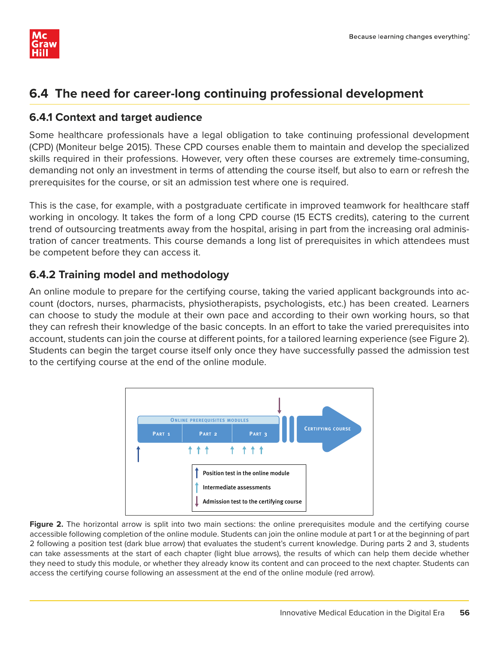

### **6.4 The need for career-long continuing professional development**

#### **6.4.1 Context and target audience**

Some healthcare professionals have a legal obligation to take continuing professional development (CPD) (Moniteur belge 2015). These CPD courses enable them to maintain and develop the specialized skills required in their professions. However, very often these courses are extremely time-consuming, demanding not only an investment in terms of attending the course itself, but also to earn or refresh the prerequisites for the course, or sit an admission test where one is required.

This is the case, for example, with a postgraduate certificate in improved teamwork for healthcare staff working in oncology. It takes the form of a long CPD course (15 ECTS credits), catering to the current trend of outsourcing treatments away from the hospital, arising in part from the increasing oral administration of cancer treatments. This course demands a long list of prerequisites in which attendees must be competent before they can access it.

#### **6.4.2 Training model and methodology**

An online module to prepare for the certifying course, taking the varied applicant backgrounds into account (doctors, nurses, pharmacists, physiotherapists, psychologists, etc.) has been created. Learners can choose to study the module at their own pace and according to their own working hours, so that they can refresh their knowledge of the basic concepts. In an effort to take the varied prerequisites into account, students can join the course at different points, for a tailored learning experience (see Figure 2). Students can begin the target course itself only once they have successfully passed the admission test to the certifying course at the end of the online module.



Figure 2. The horizontal arrow is split into two main sections: the online prerequisites module and the certifying course accessible following completion of the online module. Students can join the online module at part 1 or at the beginning of part 2 following a position test (dark blue arrow) that evaluates the student's current knowledge. During parts 2 and 3, students can take assessments at the start of each chapter (light blue arrows), the results of which can help them decide whether they need to study this module, or whether they already know its content and can proceed to the next chapter. Students can access the certifying course following an assessment at the end of the online module (red arrow).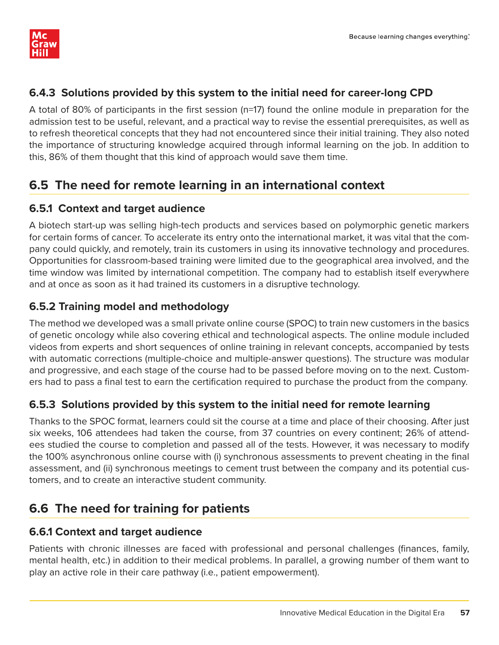#### **6.4.3 Solutions provided by this system to the initial need for career-long CPD**

A total of 80% of participants in the first session (n=17) found the online module in preparation for the admission test to be useful, relevant, and a practical way to revise the essential prerequisites, as well as to refresh theoretical concepts that they had not encountered since their initial training. They also noted the importance of structuring knowledge acquired through informal learning on the job. In addition to this, 86% of them thought that this kind of approach would save them time.

### **6.5 The need for remote learning in an international context**

#### **6.5.1 Context and target audience**

A biotech start-up was selling high-tech products and services based on polymorphic genetic markers for certain forms of cancer. To accelerate its entry onto the international market, it was vital that the company could quickly, and remotely, train its customers in using its innovative technology and procedures. Opportunities for classroom-based training were limited due to the geographical area involved, and the time window was limited by international competition. The company had to establish itself everywhere and at once as soon as it had trained its customers in a disruptive technology.

#### **6.5.2 Training model and methodology**

The method we developed was a small private online course (SPOC) to train new customers in the basics of genetic oncology while also covering ethical and technological aspects. The online module included videos from experts and short sequences of online training in relevant concepts, accompanied by tests with automatic corrections (multiple-choice and multiple-answer questions). The structure was modular and progressive, and each stage of the course had to be passed before moving on to the next. Customers had to pass a final test to earn the certification required to purchase the product from the company.

#### **6.5.3 Solutions provided by this system to the initial need for remote learning**

Thanks to the SPOC format, learners could sit the course at a time and place of their choosing. After just six weeks, 106 attendees had taken the course, from 37 countries on every continent; 26% of attendees studied the course to completion and passed all of the tests. However, it was necessary to modify the 100% asynchronous online course with (i) synchronous assessments to prevent cheating in the final assessment, and (ii) synchronous meetings to cement trust between the company and its potential customers, and to create an interactive student community.

### **6.6 The need for training for patients**

#### **6.6.1 Context and target audience**

Patients with chronic illnesses are faced with professional and personal challenges (finances, family, mental health, etc.) in addition to their medical problems. In parallel, a growing number of them want to play an active role in their care pathway (i.e., patient empowerment).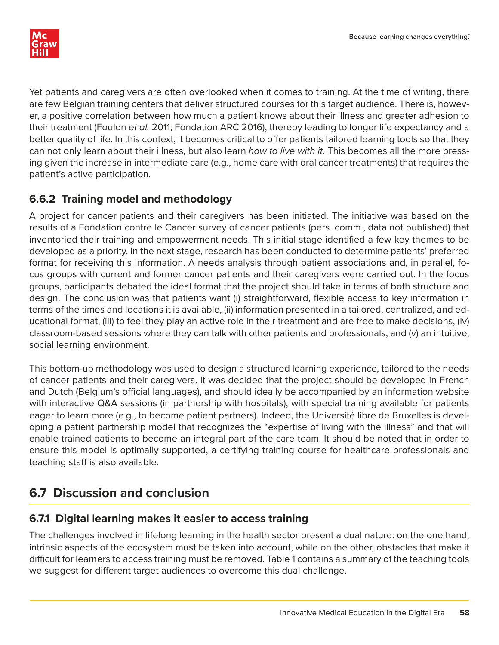Yet patients and caregivers are often overlooked when it comes to training. At the time of writing, there are few Belgian training centers that deliver structured courses for this target audience. There is, however, a positive correlation between how much a patient knows about their illness and greater adhesion to their treatment (Foulon et al. 2011; Fondation ARC 2016), thereby leading to longer life expectancy and a better quality of life. In this context, it becomes critical to offer patients tailored learning tools so that they can not only learn about their illness, but also learn *how to live with it*. This becomes all the more pressing given the increase in intermediate care (e.g., home care with oral cancer treatments) that requires the patient's active participation.

#### **6.6.2 Training model and methodology**

A project for cancer patients and their caregivers has been initiated. The initiative was based on the results of a Fondation contre le Cancer survey of cancer patients (pers. comm., data not published) that inventoried their training and empowerment needs. This initial stage identified a few key themes to be developed as a priority. In the next stage, research has been conducted to determine patients' preferred format for receiving this information. A needs analysis through patient associations and, in parallel, focus groups with current and former cancer patients and their caregivers were carried out. In the focus groups, participants debated the ideal format that the project should take in terms of both structure and design. The conclusion was that patients want (i) straightforward, flexible access to key information in terms of the times and locations it is available, (ii) information presented in a tailored, centralized, and educational format, (iii) to feel they play an active role in their treatment and are free to make decisions, (iv) classroom-based sessions where they can talk with other patients and professionals, and (v) an intuitive, social learning environment.

This bottom-up methodology was used to design a structured learning experience, tailored to the needs of cancer patients and their caregivers. It was decided that the project should be developed in French and Dutch (Belgium's official languages), and should ideally be accompanied by an information website with interactive Q&A sessions (in partnership with hospitals), with special training available for patients eager to learn more (e.g., to become patient partners). Indeed, the Université libre de Bruxelles is developing a patient partnership model that recognizes the "expertise of living with the illness" and that will enable trained patients to become an integral part of the care team. It should be noted that in order to ensure this model is optimally supported, a certifying training course for healthcare professionals and teaching staff is also available.

## **6.7 Discussion and conclusion**

#### **6.7.1 Digital learning makes it easier to access training**

The challenges involved in lifelong learning in the health sector present a dual nature: on the one hand, intrinsic aspects of the ecosystem must be taken into account, while on the other, obstacles that make it difficult for learners to access training must be removed. Table 1 contains a summary of the teaching tools we suggest for different target audiences to overcome this dual challenge.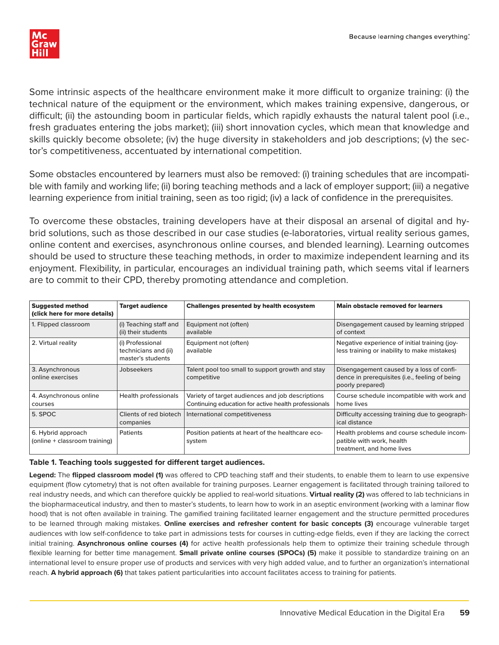

Some intrinsic aspects of the healthcare environment make it more difficult to organize training: (i) the technical nature of the equipment or the environment, which makes training expensive, dangerous, or difficult; (ii) the astounding boom in particular fields, which rapidly exhausts the natural talent pool (i.e., fresh graduates entering the jobs market); (iii) short innovation cycles, which mean that knowledge and skills quickly become obsolete; (iv) the huge diversity in stakeholders and job descriptions; (v) the sector's competitiveness, accentuated by international competition.

Some obstacles encountered by learners must also be removed: (i) training schedules that are incompatible with family and working life; (ii) boring teaching methods and a lack of employer support; (iii) a negative learning experience from initial training, seen as too rigid; (iv) a lack of confidence in the prerequisites.

To overcome these obstacles, training developers have at their disposal an arsenal of digital and hybrid solutions, such as those described in our case studies (e-laboratories, virtual reality serious games, online content and exercises, asynchronous online courses, and blended learning). Learning outcomes should be used to structure these teaching methods, in order to maximize independent learning and its enjoyment. Flexibility, in particular, encourages an individual training path, which seems vital if learners are to commit to their CPD, thereby promoting attendance and completion.

| <b>Suggested method</b><br>(click here for more details) | <b>Target audience</b>                                        | <b>Challenges presented by health ecosystem</b>                                                          | <b>Main obstacle removed for learners</b>                                                                      |
|----------------------------------------------------------|---------------------------------------------------------------|----------------------------------------------------------------------------------------------------------|----------------------------------------------------------------------------------------------------------------|
| 1. Flipped classroom                                     | (i) Teaching staff and<br>(ii) their students                 | Equipment not (often)<br>available                                                                       | Disengagement caused by learning stripped<br>of context                                                        |
| 2. Virtual reality                                       | (i) Professional<br>technicians and (ii)<br>master's students | Equipment not (often)<br>available                                                                       | Negative experience of initial training (joy-<br>less training or inability to make mistakes)                  |
| 3. Asynchronous<br>online exercises                      | Jobseekers                                                    | Talent pool too small to support growth and stay<br>competitive                                          | Disengagement caused by a loss of confi-<br>dence in prerequisites (i.e., feeling of being<br>poorly prepared) |
| 4. Asynchronous online<br>courses                        | Health professionals                                          | Variety of target audiences and job descriptions<br>Continuing education for active health professionals | Course schedule incompatible with work and<br>home lives                                                       |
| 5. SPOC                                                  | Clients of red biotech<br>companies                           | International competitiveness                                                                            | Difficulty accessing training due to geograph-<br>ical distance                                                |
| 6. Hybrid approach<br>(online + classroom training)      | Patients                                                      | Position patients at heart of the healthcare eco-<br>system                                              | Health problems and course schedule incom-<br>patible with work, health<br>treatment, and home lives           |

#### Table 1. Teaching tools suggested for different target audiences.

Legend: The flipped classroom model (1) was offered to CPD teaching staff and their students, to enable them to learn to use expensive equipment (flow cytometry) that is not often available for training purposes. Learner engagement is facilitated through training tailored to real industry needs, and which can therefore quickly be applied to real-world situations. **Virtual reality (2)** was offered to lab technicians in the biopharmaceutical industry, and then to master's students, to learn how to work in an aseptic environment (working with a laminar flow hood) that is not often available in training. The gamified training facilitated learner engagement and the structure permitted procedures to be learned through making mistakes. **Online exercises and refresher content for basic concepts (3)** encourage vulnerable target audiences with low self-confidence to take part in admissions tests for courses in cutting-edge fields, even if they are lacking the correct initial training. **Asynchronous online courses (4)** for active health professionals help them to optimize their training schedule through flexible learning for better time management. **Small private online courses (SPOCs) (5)** make it possible to standardize training on an international level to ensure proper use of products and services with very high added value, and to further an organization's international reach. **A hybrid approach (6)** that takes patient particularities into account facilitates access to training for patients.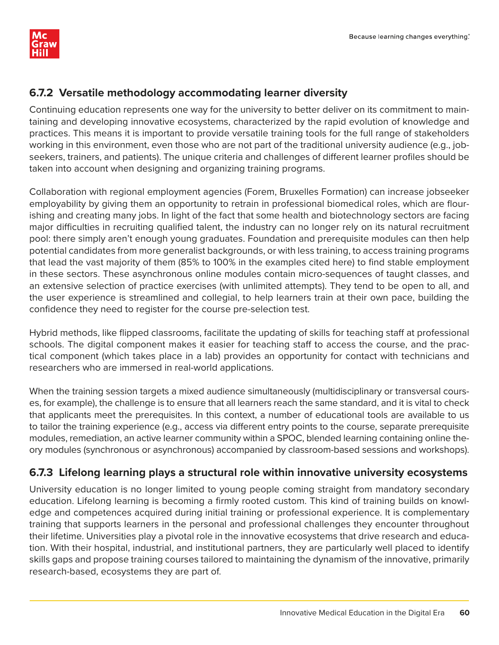

#### **6.7.2 Versatile methodology accommodating learner diversity**

Continuing education represents one way for the university to better deliver on its commitment to maintaining and developing innovative ecosystems, characterized by the rapid evolution of knowledge and practices. This means it is important to provide versatile training tools for the full range of stakeholders working in this environment, even those who are not part of the traditional university audience (e.g., jobseekers, trainers, and patients). The unique criteria and challenges of different learner profiles should be taken into account when designing and organizing training programs.

Collaboration with regional employment agencies (Forem, Bruxelles Formation) can increase jobseeker employability by giving them an opportunity to retrain in professional biomedical roles, which are flourishing and creating many jobs. In light of the fact that some health and biotechnology sectors are facing major difficulties in recruiting qualified talent, the industry can no longer rely on its natural recruitment pool: there simply aren't enough young graduates. Foundation and prerequisite modules can then help potential candidates from more generalist backgrounds, or with less training, to access training programs that lead the vast majority of them (85% to 100% in the examples cited here) to find stable employment in these sectors. These asynchronous online modules contain micro-sequences of taught classes, and an extensive selection of practice exercises (with unlimited attempts). They tend to be open to all, and the user experience is streamlined and collegial, to help learners train at their own pace, building the confidence they need to register for the course pre-selection test.

Hybrid methods, like flipped classrooms, facilitate the updating of skills for teaching staff at professional schools. The digital component makes it easier for teaching staff to access the course, and the practical component (which takes place in a lab) provides an opportunity for contact with technicians and researchers who are immersed in real-world applications.

When the training session targets a mixed audience simultaneously (multidisciplinary or transversal courses, for example), the challenge is to ensure that all learners reach the same standard, and it is vital to check that applicants meet the prerequisites. In this context, a number of educational tools are available to us to tailor the training experience (e.g., access via different entry points to the course, separate prerequisite modules, remediation, an active learner community within a SPOC, blended learning containing online theory modules (synchronous or asynchronous) accompanied by classroom-based sessions and workshops).

#### **6.7.3 Lifelong learning plays a structural role within innovative university ecosystems**

University education is no longer limited to young people coming straight from mandatory secondary education. Lifelong learning is becoming a firmly rooted custom. This kind of training builds on knowledge and competences acquired during initial training or professional experience. It is complementary training that supports learners in the personal and professional challenges they encounter throughout their lifetime. Universities play a pivotal role in the innovative ecosystems that drive research and education. With their hospital, industrial, and institutional partners, they are particularly well placed to identify skills gaps and propose training courses tailored to maintaining the dynamism of the innovative, primarily research-based, ecosystems they are part of.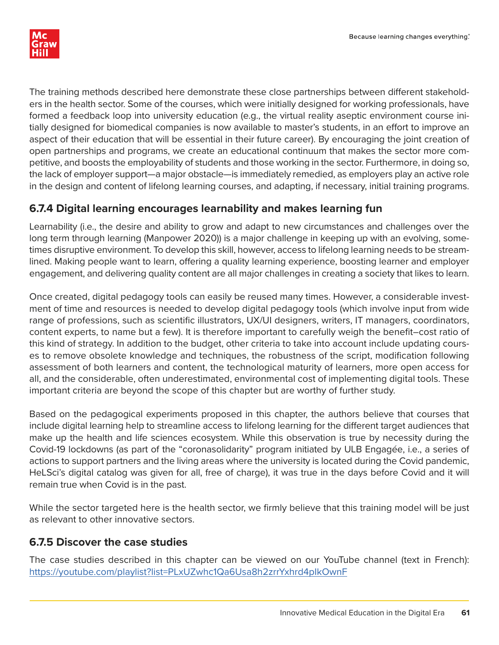

The training methods described here demonstrate these close partnerships between different stakeholders in the health sector. Some of the courses, which were initially designed for working professionals, have formed a feedback loop into university education (e.g., the virtual reality aseptic environment course initially designed for biomedical companies is now available to master's students, in an effort to improve an aspect of their education that will be essential in their future career). By encouraging the joint creation of open partnerships and programs, we create an educational continuum that makes the sector more competitive, and boosts the employability of students and those working in the sector. Furthermore, in doing so, the lack of employer support—a major obstacle—is immediately remedied, as employers play an active role in the design and content of lifelong learning courses, and adapting, if necessary, initial training programs.

#### **6.7.4 Digital learning encourages learnability and makes learning fun**

Learnability (i.e., the desire and ability to grow and adapt to new circumstances and challenges over the long term through learning (Manpower 2020)) is a major challenge in keeping up with an evolving, sometimes disruptive environment. To develop this skill, however, access to lifelong learning needs to be streamlined. Making people want to learn, offering a quality learning experience, boosting learner and employer engagement, and delivering quality content are all major challenges in creating a society that likes to learn.

Once created, digital pedagogy tools can easily be reused many times. However, a considerable investment of time and resources is needed to develop digital pedagogy tools (which involve input from wide range of professions, such as scientific illustrators, UX/UI designers, writers, IT managers, coordinators, content experts, to name but a few). It is therefore important to carefully weigh the benefit–cost ratio of this kind of strategy. In addition to the budget, other criteria to take into account include updating courses to remove obsolete knowledge and techniques, the robustness of the script, modification following assessment of both learners and content, the technological maturity of learners, more open access for all, and the considerable, often underestimated, environmental cost of implementing digital tools. These important criteria are beyond the scope of this chapter but are worthy of further study.

Based on the pedagogical experiments proposed in this chapter, the authors believe that courses that include digital learning help to streamline access to lifelong learning for the different target audiences that make up the health and life sciences ecosystem. While this observation is true by necessity during the Covid-19 lockdowns (as part of the "coronasolidarity" program initiated by ULB Engagée, i.e., a series of actions to support partners and the living areas where the university is located during the Covid pandemic, HeLSci's digital catalog was given for all, free of charge), it was true in the days before Covid and it will remain true when Covid is in the past.

While the sector targeted here is the health sector, we firmly believe that this training model will be just as relevant to other innovative sectors.

#### **6.7.5 Discover the case studies**

The case studies described in this chapter can be viewed on our YouTube channel (text in French): https://youtube.com/playlist?list=PLxUZwhc1Qa6Usa8h2zrrYxhrd4pIkOwnF